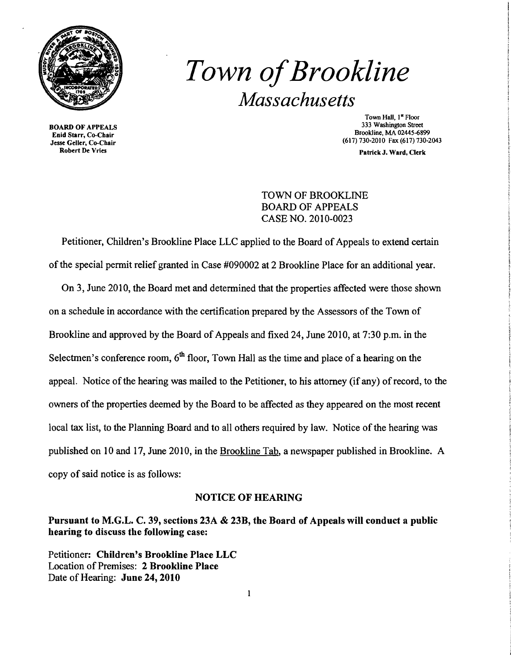

BOARD OF APPEALS Enid Starr, Co-Chair Jesse Geller, Co-Chair Robert De Vries

# *Town ofBrookline Massachusetts*

Town Hall, I" Floor 333 Washington Street Brookline, MA 02445-6899 (617)730-2010 Fax (617) 730-2043

Patrick J. Ward, Clerk

## TOWN OF BROOKLINE BOARD OF APPEALS CASE NO. 2010-0023

Petitioner, Children's Brookline Place LLC applied to the Board of Appeals to extend certain of the special pennit relief granted in Case #090002 at 2 Brookline Place for an additional year.

On 3, June 2010, the Board met and detennined that the properties affected were those shown on a schedule in accordance with the certification prepared by the Assessors of the Town of Brookline and approved by the Board of Appeals and fixed 24, June 2010, at 7:30 p.m. in the Selectmen's conference room,  $6<sup>th</sup>$  floor, Town Hall as the time and place of a hearing on the appeal. Notice of the hearing was mailed to the Petitioner, to his attorney (if any) of record, to the owners of the properties deemed by the Board to be affected as they appeared on the most recent local tax list, to the Planning Board and to all others required by law. Notice of the hearing was published on 10 and 17, June 2010, in the Brookline Tab, a newspaper published in Brookline. A copy of said notice is as follows:

### NOTICE OF HEARING

## Pursuant to M.G.L. C. 39, sections 23A & 23B, the Board of Appeals will conduct a public hearing to discuss the following case:

Petitioner: Children's Brookline Place LLC Location of Premises: 2 Brookline Place Date of Hearing: June 24, 2010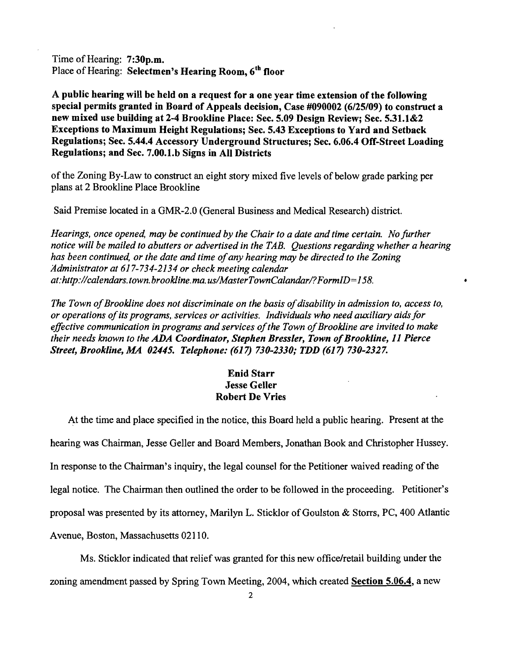Time of Hearing: 7:30p.m. Place of Hearing: Selectmen's Hearing Room, 6<sup>th</sup> floor

A public hearing will be held on a request for a one year time extension of the following special permits granted in Board of Appeals decision, Case #090002 (6/25/09) to construct a new mixed use building at 2-4 Brookline Place: Sec. 5.09 Design Review; Sec. 5.31.1&2 Exceptions to Maximum Height Regulations; Sec. 5.43 Exceptions to Yard and Setback Regulations; Sec. 5.44.4 Accessory Underground Structures; Sec. 6.06.4 Off-Street Loading Regulations; and Sec. 7.00.1.b Signs in All Districts

ofthe Zoning By-Law to construct an eight story mixed five levels of below grade parking per plans at 2 Brookline Place Brookline

Said Premise located in a GMR-2.0 (General Business and Medical Research) district.

*Hearings, once opened, may be continued by the Chair to a date and time certain. No further notice will be mailed to abutters or advertised in the TAB. Questions regarding whether a hearing has been continued, or the date and time ofany hearing may be directed to the Zoning ;4dministrator at* 617-734-2134 *or check meeting calendar at:http://calendars.town.brookline.ma.usIMasterTownCalandarl?Form1D=*158. •

The Town of Brookline does not discriminate on the basis of disability in admission to, access to, *or operations ofits programs, services or activities. Individuals who need auxiliary aids for*  effective communication in programs and services of the Town of Brookline are invited to make *their needs known to the* ADA *Coordinator, Stephen Bressler, Town ofBrookline,* 11 *Pierce Street, Brookline, MA 02445. Telephone:* (617) *730-2330; TDD* (617) *730-2327.* 

## Enid Starr Jesse Geller Robert De Vries

At the time and place specified in the notice, this Board held a public hearing. Present at the hearing was Chairman, Jesse Geller and Board Members, Jonathan Book and Christopher Hussey. In response to the Chairman's inquiry, the legal counsel for the Petitioner waived reading of the legal notice. The Chairman then outlined the order to be followed in the proceeding. Petitioner's proposal was presented by its attorney, Marilyn L. Sticklor of Goulston & Storrs, PC, 400 Atlantic Avenue, Boston, Massachusetts 02110.

Ms. Sticklor indicated that relief was granted for this new officelretail building under the zoning amendment passed by Spring Town Meeting, 2004, which created Section 5.06.4, a new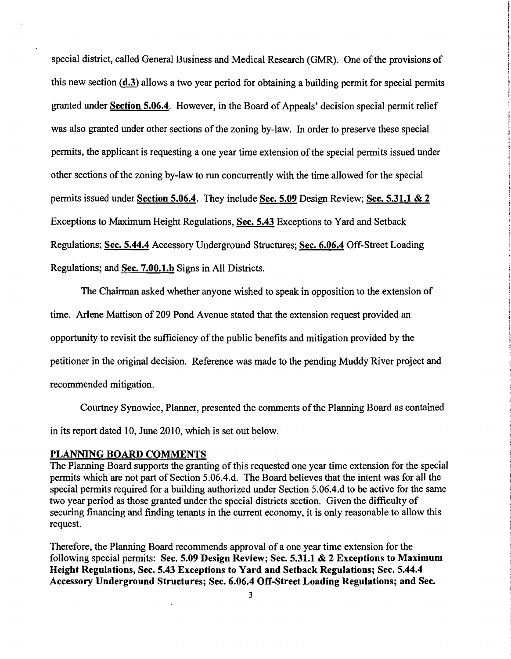special district, called General Business and Medical Research (GMR). One of the provisions of this new section (d.3) allows a two year period for obtaining a building permit for special permits granted under **Section 5.06.4**. However, in the Board of Appeals' decision special permit relief was also granted under other sections of the zoning by-law. In order to preserve these special permits, the applicant is requesting a one year time extension ofthe special permits issued under other sections of the zoning by-law to run concurrently with the time allowed for the special permits issued under Section 5.06.4. They include Sec. 5.09 Design Review; Sec. 5.31.1 & 2 Exceptions to Maximum Height Regulations, Sec. 5.43 Exceptions to Yard and Setback Regulations; Sec. 5.44.4 Accessory Underground Structures; Sec. 6.06.4 Off-Street Loading Regulations; and Sec. 7.00.1.b Signs in All Districts.

The Chairman asked whether anyone wished to speak in opposition to the extension of time. Arlene Mattison of 209 Pond Avenue stated that the extension request provided an opportunity to revisit the sufficiency of the public benefits and mitigation provided by the petitioner in the original decision. Reference was made to the pending Muddy River project and recommended mitigation.

Courtney Synowiec, Planner, presented the comments ofthe Planning Board as contained in its report dated 10, June 2010, which is set out below.

#### PLANNING BOARD COMMENTS

The Planning Board supports the granting of this requested one year time extension for the special permits which are not part of Section 5.06.4.d. The Board believes that the intent was for all the special permits required for a building authorized under Section 5.06.4.d to be active for the same two year period as those granted under the special districts section. Given the difficulty of securing financing and finding tenants in the current economy, it is only reasonable to allow this request.

Therefore, the Planning Board recommends approval of a one year time extension for the following special permits: Sec. 5.09 Design Review; Sec. 5.31.1 & 2 Exceptions to Maximum Height Regulations, Sec. 5.43 Exceptions to Yard and Setback Regulations; Sec. 5.44.4 Accessory Underground Structures; Sec. 6.06.4 Off-Street Loading Regulations; and Sec.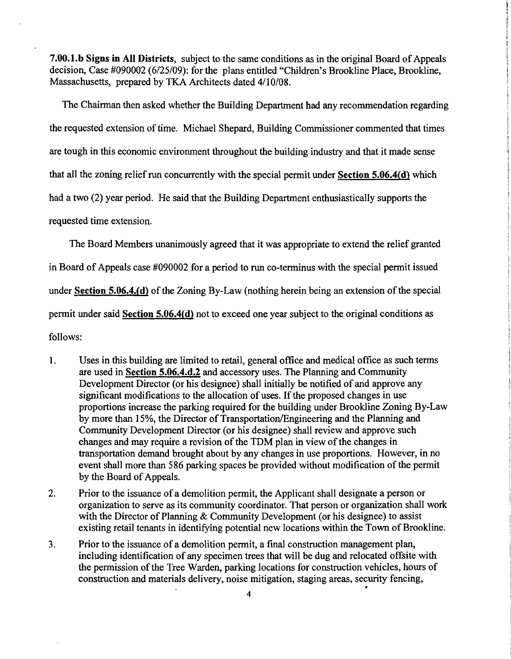7.00.1.b Signs in All Districts, subject to the same conditions as in the original Board of Appeals decision, Case #090002 (6/25/09): for the plans entitled "Children's Brookline Place, Brookline, Massachusetts, prepared by TKA Architects dated 4/10/08.

The Chairman then asked whether the Building Department had any recommendation regarding the requested extension of time. Michael Shepard, Building Commissioner commented that times are tough in this economic environment throughout the building industry and that it made sense that all the zoning relief run concurrently with the special permit under Section 5.06.4(d) which had a two (2) year period. He said that the Building Department enthusiastically supports the requested time extension.

The Board Members unanimously agreed that it was appropriate to extend the relief granted in Board of Appeals case #090002 for a period to run co-terminus with the special permit issued under Section 5.06.4.(d) of the Zoning By-Law (nothing herein being an extension of the special pennit under said Section 5.06.4(d) not to exceed one year subject to the original conditions as follows:

- 1. Uses in this building are limited to retail, general office and medical office as such terms are used in Section 5.06.4.d.2 and accessory uses. The Planning and Community Development Director (or his designee) shall initially be notified of arid approve any significant modifications to the allocation of uses. If the proposed changes in use proportions increase the parking required for the building under Brookline Zoning By-Law by more than 15%, the Director of Transportation/Engineering and the Planning and Community Development Director (or his designee) shall review and approve such changes and may require a revision of the TDM plan in view of the changes in transportation demand brought about by any changes in use proportions. However, in no event shall more than 586 parking spaces be provided without modification of the permit by the Board of Appeals.
- 2. Prior to the issuance of a demolition permit, the Applicant shall designate a person or organization to serve as its community coordinator. That person or organization shall work with the Director of Planning & Community Development (or his designee) to assist existing retail tenants in identifying potential new locations within the Town of Brookline.
- 3. Prior to the issuance of a demolition pennit, a final construction management plan, including identification of any specimen trees that will be dug and relocated offsite with the permission of the Tree Warden, parking locations for construction vehicles, hours of construction and materials delivery, noise mitigation, staging areas, security fencing, •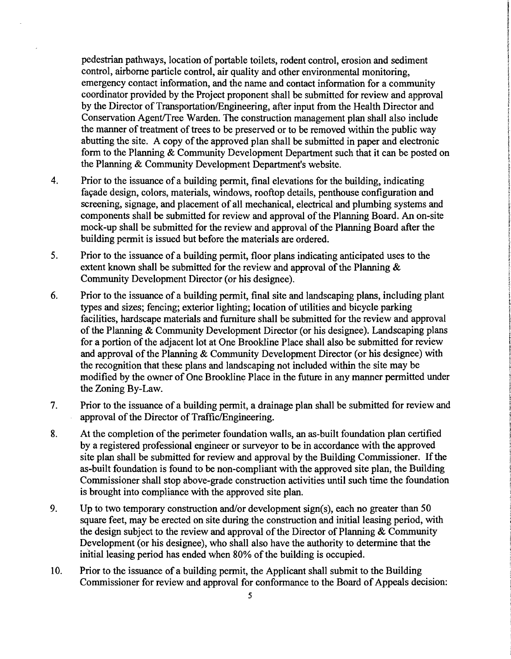pedestrian pathways, location of portable toilets, rodent control, erosion and sediment control, airborne particle control, air quality and other environmental monitoring, emergency contact information, and the name and contact information for a community coordinator provided by the Project proponent shall be submitted for review and approval by the Director of Transportation/Engineering, after input from the Health Director and Conservation Agent/Tree Warden. The construction management plan shall also include the manner of treatment of trees to be preserved or to be removed within the public way abutting the site. A copy of the approved plan shall be submitted in paper and electronic form to the Planning & Community Development Department such that it can be posted on the Planning & Community Development Department's website.

- 4. Prior to the issuance of a building permit, final elevations for the building, indicating façade design, colors, materials, windows, rooftop details, penthouse configuration and screening, signage, and placement of all mechanical, electrical and plumbing systems and components shall be submitted for review and approval of the Planning Board. An on-site mock-up shall be submitted for the review and approval of the Planning Board after the building permit is issued but before the materials are ordered.
- 5. Prior to the issuance of a building permit, floor plans indicating anticipated uses to the extent known shall be submitted for the review and approval of the Planning  $\&$ Community Development Director (or his designee).
- 6. Prior to the issuance of a building permit, final site and landscaping plans, including plant types and sizes; fencing; exterior lighting; location of utilities and bicycle parking facilities, hardscape materials and furniture shall be submitted for the review and approval of the Planning & Community Development Director (or his designee). Landscaping plans for a portion of the adjacent lot at One Brookline Place shall also be submitted for review and approval of the Planning & Community Development Director (or his designee) with the recognition that these plans and landscaping not included within the site may be modified by the owner of One Brookline Place in the future in any manner permitted under the Zoning By-Law.
- 7. Prior to the issuance of a building permit, a drainage plan shall be submitted for review and approval of the Director of Traffic/Engineering.  $\ddot{\phantom{a}}$
- 8. At the completion of the perimeter foundation walls, an as-built foundation plan certified by a registered professional engineer or surveyor to be in accordance with the approved site plan shall be submitted for review and approval by the Building Commissioner. If the as-built foundation is found to be non-compliant with the approved site plan, the Building Commissioner shall stop above-grade construction activities until such time the foundation is brought into compliance with the approved site plan.
- 9. Up to two temporary construction and/or development sign(s), each no greater than 50 square feet, may be erected on site during the construction and initial leasing period, with the design subject to the review and approval of the Director of Planning  $&$  Community Development (or his designee), who shall also have the authority to determine that the initial leasing period has ended when 80% of the building is occupied.
- 10. Prior to the issuance of a building permit, the Applicant shall submit to the Building Commissioner for review and approval for conformance to the Board of Appeals decision: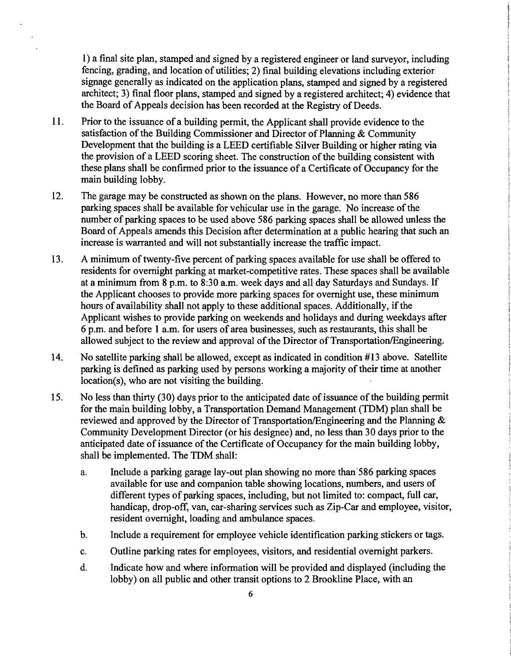1) a final site plan, stamped and signed by a registered engineer or land surveyor, including fencing, grading, and location of utilities; 2) final building elevations including exterior signage generally as indicated on the application plans, stamped and signed by a registered architect; 3) final floor plans, stamped and signed by a registered architect; 4) evidence that the Board of Appeals decision has been recorded at the Registry of Deeds.

- 11. Prior to the issuance of a building permit, the Applicant shall provide evidence to the satisfaction of the Building Commissioner and Director of Planning & Community Development that the building is a LEED certifiable Silver Building or higher rating via the provision of a LEED scoring sheet. The construction of the building consistent with these plans shall be confirmed prior to the issuance of a Certificate of Occupancy for the main building lobby.
- 12. The garage may be constructed as shown on the plans. However, no more than 586 parking spaces shall be available for vehicular use in the garage. No increase of the number of parking spaces to be used above 586 parking spaces shall be allowed unless the Board of Appeals amends this Decision after determination at a public hearing that such an increase is warranted and will not substantially increase the traffic impact.
- 13. A minimum of twenty-five percent of parking spaces available for use shall be offered to residents for overnight parking at market-competitive rates. These spaces shall be available at a minimum from 8 p.m. to 8:30 a.m. week days and all day Saturdays and Sundays. If the Applicant chooses to provide more parking spaces for overnight use, these minimum hours of availability shall not apply to these additional spaces. Additionally, if the Applicant wishes to provide parking on weekends and holidays and during weekdays after 6 p.m. and before 1 a.m. for users of area businesses, such as restaurants, this shall be allowed subject to the review and approval of the Director of Transportation/Engineering.
- 14. No satellite parking shall be allowed, except as indicated in condition #13 above. Satellite parking is defined as parking used by persons working a majority of their time at another location(s), who are not visiting the building.
- 15. No less than thirty (30) days prior to the anticipated date of issuance of the building permit for the main building lobby, a Transportation Demand Management (TDM) plan shall be reviewed and approved by the Director of Transportation/Engineering and the Planning & Community Development Director (or his designee) and, no less than 30 days prior to the anticipated date of issuance of the Certificate of Occupancy for the main building lobby, shall be implemented. The TDM shall:
	- a. Include a parking garage lay-out plan showing no more than 586 parking spaces available for use and companion table showing locations, numbers, and users of different types of parking spaces, including, but not limited to: compact, full car, handicap, drop-off, van, car-sharing services such as Zip-Car and employee, visitor, resident overnight, loading and ambulance spaces.
	- b. Include a requirement for employee vehicle identification parking stickers or tags.
	- c. Outline parking rates for employees, visitors, and residential overnight parkers.
	- d. Indicate how and where information will be provided and displayed (including the lobby) on all public and other transit options to 2 Brookline Place, with an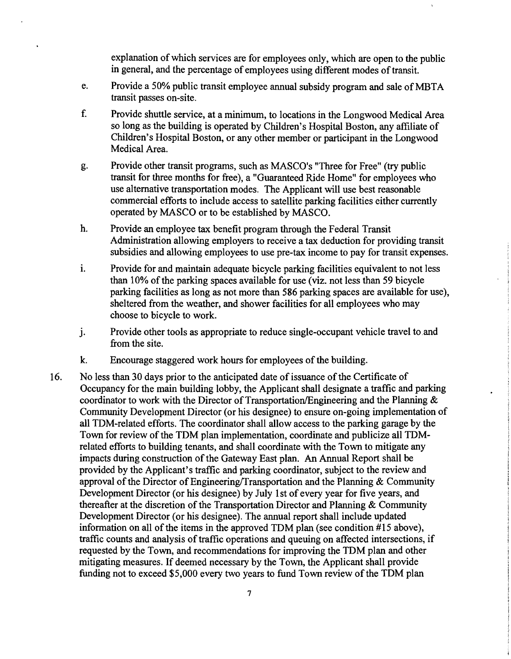explanation of which services are for employees only, which are open to the public in general, and the percentage of employees using different modes of transit.

- e. Provide a 50% public transit employee annual subsidy program and sale of MBTA transit passes on-site.
- f. Provide shuttle service, at a minimum, to locations in the Longwood Medical Area so long as the building is operated by Children's Hospital Boston, any affiliate of Children's Hospital Boston, or any other member or participant in the Longwood Medical Area.
- g. Provide other transit programs, such as MASCO's "Three for Free" (try public transit for three months for free), a "Guaranteed Ride Home" for employees who use alternative transportation modes. The Applicant will use best reasonable commercial efforts to include access to satellite parking facilities either currently operated by MASCO or to be established by MASCO.
- h. Provide an employee tax benefit program through the Federal Transit Administration allowing employers to receive a tax deduction for providing transit subsidies and allowing employees to use pre-tax income to pay for transit expenses.
- i. Provide for and maintain adequate bicycle parking facilities equivalent to not less than  $10\%$  of the parking spaces available for use (viz. not less than 59 bicycle parking facilities as long as not more than 586 parking spaces are available for use), sheltered from the weather, and shower facilities for all employees who may choose to bicycle to work.
- j. Provide other tools as appropriate to reduce single-occupant vehicle travel to and from the site.
- k. Encourage staggered work hours for employees of the building.
- 16. No less than 30 days prior to the anticipated date of issuance of the Certificate of Occupancy for the main building lobby, the Applicant shall designate a traffic and parking coordinator to work with the Director of Transportation/Engineering and the Planning  $\&$ Community Development Director (or his designee) to ensure on-going implementation of all TDM-related efforts. The coordinator shall allow access to the parking garage by the Town for review of the TDM plan implementation, coordinate and publicize all TDMrelated efforts to building tenants, and shall coordinate with the Town to mitigate any impacts during construction of the Gateway East plan. An Annual Report shall be provided by the Applicant's traffic and parking coordinator, subject to the review and approval of the Director of Engineering/Transportation and the Planning  $&$  Community Development Director (or his designee) by July 1st of every year for five years, and thereafter at the discretion of the Transportation Director and Planning & Community Development Director (or his designee). The annual report shall include updated information on all of the items in the approved TDM plan (see condition  $#15$  above), traffic counts and analysis of traffic operations and queuing on affected intersections, if requested by the Town, and recommendations for improving the TDM plan and other mitigating measures. If deemed necessary by the Town, the Applicant shall provide funding not to exceed \$5,000 every two years to fund Town review of the TDM plan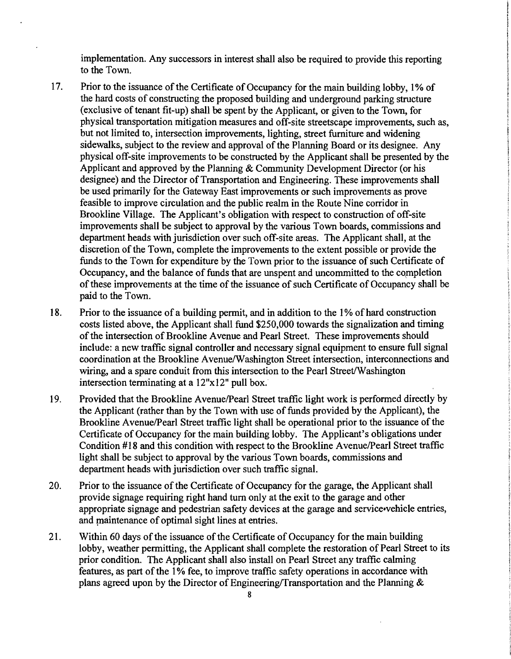implementation. Any successors in interest shall also be required to provide this reporting to the Town.

- 17. Prior to the issuance of the Certificate of Occupancy for the main building lobby, 1% of the hard costs of constructing the proposed building and underground parking structure (exclusive of tenant fit-up) shall be spent by the Applicant, or given to the Town, for physical transportation mitigation measures and off-site streetscape improvements, such as, but not limited to, intersection improvements, lighting, street furniture and widening sidewalks, subject to the review and approval of the Planning Board or its designee. Any physical off-site improvements to be constructed by the Applicant shall be presented by the Applicant and approved by the Planning & Community Development Director (or his designee) and the Director of Transportation and Engineering. These improvements shall be used primarily for the Gateway East improvements or such improvements as prove feasible to improve circulation and the public realm in the Route Nine corridor in Brookline Village. The Applicant's obligation with respect to construction of off-site improvements shall be subject to approval by the various Town boards, commissions and department heads with jurisdiction over such off-site areas. The Applicant shall, at the discretion of the Town, complete the improvements to the extent possible or provide the funds to the Town for expenditure by the Town prior to the issuance of such Certificate of Occupancy, and the balance of funds that are unspent and uncommitted to the completion of these improvements at the time of the issuance of such Certificate of Occupancy shall be paid to the Town.
- 18. Prior to the issuance of a building permit, and in addition to the I% of hard construction costs listed above, the Applicant shall fund \$250,000 towards the signalization and timing of the intersection of Brookline Avenue and Pearl Street. These improvements should include: a new traffic signal controller and necessary signal equipment to ensure full signal coordination at the Brookline Avenue/Washington Street intersection, interconnections and wiring, and a spare conduit from this intersection to the Pearl Street/Washington intersection terminating at a  $12"x12"$  pull box.
- 19. Provided that the Brookline AvenuelPearl Street traffic light work is performed directly by the Applicant (rather than by the Town with use of funds provided by the Applicant), the Brookline Avenue/Pearl Street traffic light shall be operational prior to the issuance of the Certificate of Occupancy for the main building lobby. The Applicant's obligations under Condition #18 and this condition with respect to the Brookline Avenue/Pearl Street traffic light shall be subject to approval by the various Town boards, commissions and department heads with jurisdiction over such traffic signal.
- 20. Prior to the issuance of the Certificate of Occupancy for the garage, the Applicant shall provide signage requiring right hand tum only at the exit to the garage and other appropriate signage and pedestrian safety devices at the garage and service-vehicle entries, and maintenance of optimal sight lines at entries.
- 21. Within 60 days of the issuance of the Certificate of Occupancy for the main building lobby, weather permitting, the Applicant shall complete the restoration of Pearl Street to its prior condition. The Applicant shall also install on Pearl Street any traffic calming features, as part of the 1% fee, to improve traffic safety operations in accordance with plans agreed upon by the Director of Engineering/Transportation and the Planning  $\&$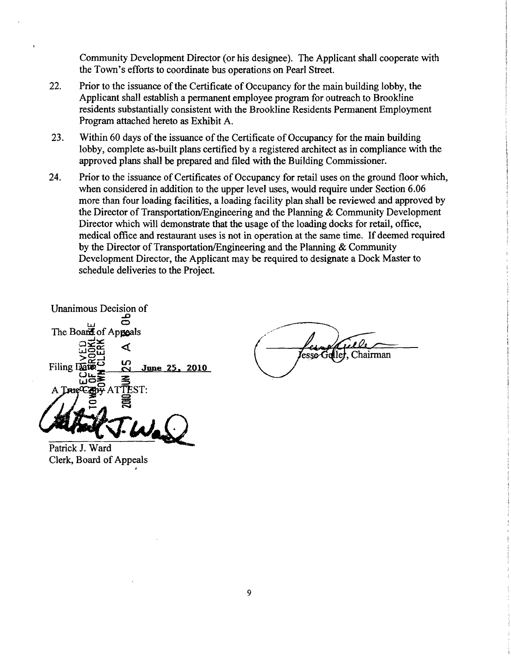Community Development Director (or his designee). The Applicant shall cooperate with the Town's efforts to coordinate bus operations on Pearl Street.

- 22. Prior to the issuance of the Certificate of Occupancy for the main building lobby, the Applicant shall establish a permanent employee program for outreach to Brookline residents substantially consistent with the Brookline Residents Permanent Employment Program attached hereto as Exhibit A.
- 23. Within 60 days of the issuance of the Certificate of Occupancy for the main building lobby, complete as-built plans certified by a registered architect as in compliance with the approved plans shall be prepared and filed with the Building Commissioner.
- 24. Prior to the issuance of Certificates of Occupancy for retail uses on the ground floor which, when considered in addition to the upper level uses, would require under Section 6.06 more than four loading facilities, a loading facility plan shall be reviewed and approved by the Director of Transportation/Engineering and the Planning  $&$  Community Development Director which will demonstrate that the usage of the loading docks for retail, office, medical office and restaurant uses is not in operation at the same time. If deemed required by the Director of Transportation/Engineering and the Planning  $&$  Community Development Director, the Applicant may be required to designate a Dock Master to schedule deliveries to the Project.

Unanimous Decision of ..D w 0 ī The Board of Appeals  $\frac{1}{\sqrt{2}}$   $\frac{1}{\sqrt{2}}$   $\frac{1}{\sqrt{2}}$   $\frac{1}{\sqrt{2}}$   $\frac{1}{\sqrt{2}}$ wg⊞  $\geq$   $\geq$   $\geq$  $Filing \nLéC = C$  June 25, 2010  $\overline{u}$  $\overline{u}$  $\overline{u}$  $\overline{u}$ ł  $\stackrel{\text{\tiny def}}{\text{\tiny def}}$ TEST: f§

<u>Gill</u>e esse Geller, Chairman

Patrick J. Ward Clerk, Board of Appeals